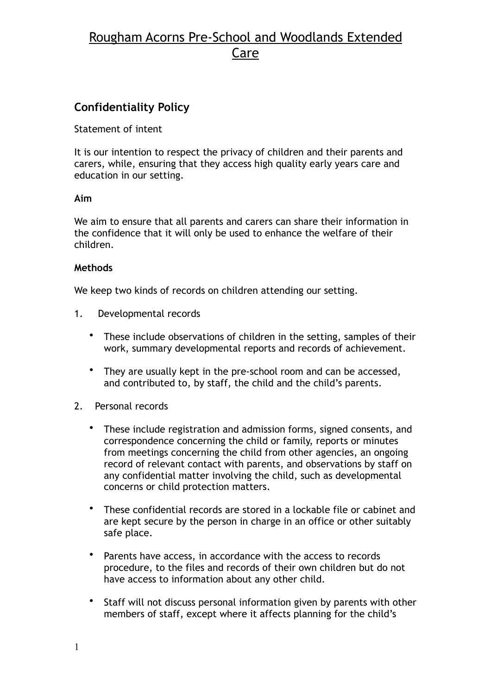# Rougham Acorns Pre-School and Woodlands Extended Care

### **Confidentiality Policy**

Statement of intent

It is our intention to respect the privacy of children and their parents and carers, while, ensuring that they access high quality early years care and education in our setting.

### **Aim**

We aim to ensure that all parents and carers can share their information in the confidence that it will only be used to enhance the welfare of their children.

### **Methods**

We keep two kinds of records on children attending our setting.

- 1. Developmental records
	- These include observations of children in the setting, samples of their work, summary developmental reports and records of achievement.
	- They are usually kept in the pre-school room and can be accessed, and contributed to, by staff, the child and the child's parents.
- 2. Personal records
	- These include registration and admission forms, signed consents, and correspondence concerning the child or family, reports or minutes from meetings concerning the child from other agencies, an ongoing record of relevant contact with parents, and observations by staff on any confidential matter involving the child, such as developmental concerns or child protection matters.
	- These confidential records are stored in a lockable file or cabinet and are kept secure by the person in charge in an office or other suitably safe place.
	- Parents have access, in accordance with the access to records procedure, to the files and records of their own children but do not have access to information about any other child.
	- Staff will not discuss personal information given by parents with other members of staff, except where it affects planning for the child's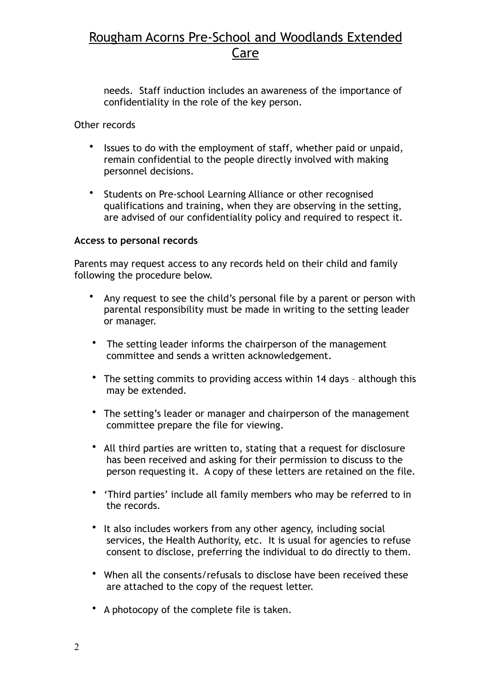# Rougham Acorns Pre-School and Woodlands Extended Care

needs. Staff induction includes an awareness of the importance of confidentiality in the role of the key person.

#### Other records

- Issues to do with the employment of staff, whether paid or unpaid, remain confidential to the people directly involved with making personnel decisions.
- Students on Pre-school Learning Alliance or other recognised qualifications and training, when they are observing in the setting, are advised of our confidentiality policy and required to respect it.

#### **Access to personal records**

Parents may request access to any records held on their child and family following the procedure below.

- Any request to see the child's personal file by a parent or person with parental responsibility must be made in writing to the setting leader or manager.
- The setting leader informs the chairperson of the management committee and sends a written acknowledgement.
- The setting commits to providing access within 14 days although this may be extended.
- The setting's leader or manager and chairperson of the management committee prepare the file for viewing.
- All third parties are written to, stating that a request for disclosure has been received and asking for their permission to discuss to the person requesting it. A copy of these letters are retained on the file.
- 'Third parties' include all family members who may be referred to in the records.
- It also includes workers from any other agency, including social services, the Health Authority, etc. It is usual for agencies to refuse consent to disclose, preferring the individual to do directly to them.
- When all the consents/refusals to disclose have been received these are attached to the copy of the request letter.
- A photocopy of the complete file is taken.